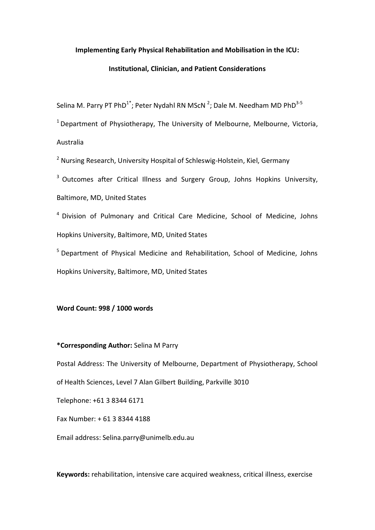## **Implementing Early Physical Rehabilitation and Mobilisation in the ICU:**

## **Institutional, Clinician, and Patient Considerations**

Selina M. Parry PT PhD<sup>1\*</sup>; Peter Nydahl RN MScN <sup>2</sup>; Dale M. Needham MD PhD<sup>3-5</sup>

 $1$  Department of Physiotherapy, The University of Melbourne, Melbourne, Victoria, Australia

<sup>2</sup> Nursing Research, University Hospital of Schleswig-Holstein, Kiel, Germany

<sup>3</sup> Outcomes after Critical Illness and Surgery Group, Johns Hopkins University,

Baltimore, MD, United States

<sup>4</sup> Division of Pulmonary and Critical Care Medicine, School of Medicine, Johns Hopkins University, Baltimore, MD, United States

<sup>5</sup> Department of Physical Medicine and Rehabilitation, School of Medicine, Johns Hopkins University, Baltimore, MD, United States

# **Word Count: 998 / 1000 words**

## **\*Corresponding Author:** Selina M Parry

Postal Address: The University of Melbourne, Department of Physiotherapy, School of Health Sciences, Level 7 Alan Gilbert Building, Parkville 3010

Telephone: +61 3 8344 6171

Fax Number: + 61 3 8344 4188

Email address: Selina.parry@unimelb.edu.au

**Keywords:** rehabilitation, intensive care acquired weakness, critical illness, exercise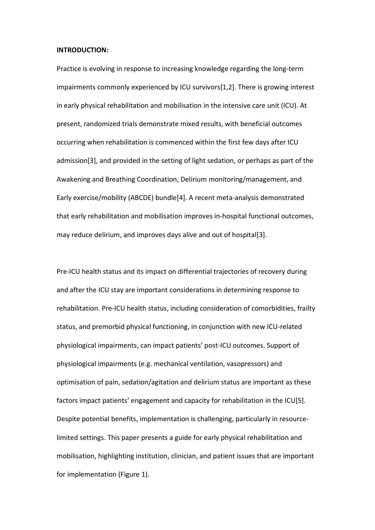### **INTRODUCTION:**

Practice is evolving in response to increasing knowledge regarding the long-term impairments commonly experienced by ICU survivors[\[1,](#page-7-0)[2\]](#page-7-1). There is growing interest in early physical rehabilitation and mobilisation in the intensive care unit (ICU). At present, randomized trials demonstrate mixed results, with beneficial outcomes occurring when rehabilitation is commenced within the first few days after ICU admission[\[3\]](#page-7-2), and provided in the setting of light sedation, or perhaps as part of the Awakening and Breathing Coordination, Delirium monitoring/management, and Early exercise/mobility (ABCDE) bundle[\[4\]](#page-7-3). A recent meta-analysis demonstrated that early rehabilitation and mobilisation improves in-hospital functional outcomes, may reduce delirium, and improves days alive and out of hospital[\[3\]](#page-7-2).

Pre-ICU health status and its impact on differential trajectories of recovery during and after the ICU stay are important considerations in determining response to rehabilitation. Pre-ICU health status, including consideration of comorbidities, frailty status, and premorbid physical functioning, in conjunction with new ICU-related physiological impairments, can impact patients' post-ICU outcomes. Support of physiological impairments (e.g. mechanical ventilation, vasopressors) and optimisation of pain, sedation/agitation and delirium status are important as these factors impact patients' engagement and capacity for rehabilitation in the ICU[\[5\]](#page-7-4). Despite potential benefits, implementation is challenging, particularly in resourcelimited settings. This paper presents a guide for early physical rehabilitation and mobilisation, highlighting institution, clinician, and patient issues that are important for implementation (Figure 1).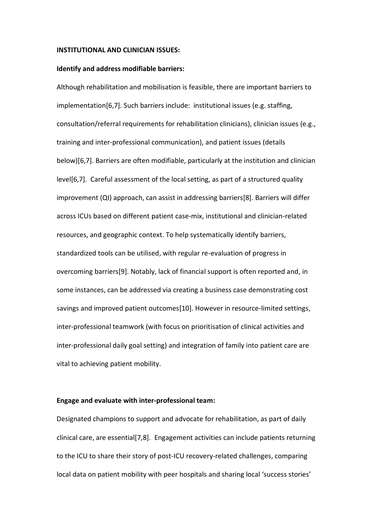### **INSTITUTIONAL AND CLINICIAN ISSUES:**

#### **Identify and address modifiable barriers:**

Although rehabilitation and mobilisation is feasible, there are important barriers to implementation[\[6](#page-7-5)[,7\]](#page-7-6). Such barriers include: institutional issues (e.g. staffing, consultation/referral requirements for rehabilitation clinicians), clinician issues (e.g., training and inter-professional communication), and patient issues (details below)[\[6,](#page-7-5)[7\]](#page-7-6). Barriers are often modifiable, particularly at the institution and clinician level[\[6,](#page-7-5)[7\]](#page-7-6). Careful assessment of the local setting, as part of a structured quality improvement (QI) approach, can assist in addressing barriers[\[8\]](#page-7-7). Barriers will differ across ICUs based on different patient case-mix, institutional and clinician-related resources, and geographic context. To help systematically identify barriers, standardized tools can be utilised, with regular re-evaluation of progress in overcoming barriers[\[9\]](#page-7-8). Notably, lack of financial support is often reported and, in some instances, can be addressed via creating a business case demonstrating cost savings and improved patient outcomes[\[10\]](#page-7-9). However in resource-limited settings, inter-professional teamwork (with focus on prioritisation of clinical activities and inter-professional daily goal setting) and integration of family into patient care are vital to achieving patient mobility.

#### **Engage and evaluate with inter-professional team:**

Designated champions to support and advocate for rehabilitation, as part of daily clinical care, are essential[\[7,](#page-7-6)[8\]](#page-7-7). Engagement activities can include patients returning to the ICU to share their story of post-ICU recovery-related challenges, comparing local data on patient mobility with peer hospitals and sharing local 'success stories'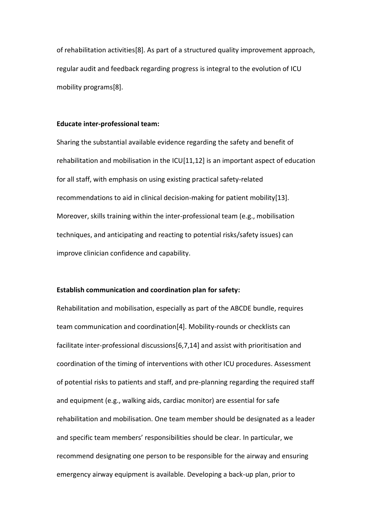of rehabilitation activities[\[8\]](#page-7-7). As part of a structured quality improvement approach, regular audit and feedback regarding progress is integral to the evolution of ICU mobility programs[\[8\]](#page-7-7).

## **Educate inter-professional team:**

Sharing the substantial available evidence regarding the safety and benefit of rehabilitation and mobilisation in the ICU[\[11,](#page-7-10)[12\]](#page-7-11) is an important aspect of education for all staff, with emphasis on using existing practical safety-related recommendations to aid in clinical decision-making for patient mobility[\[13\]](#page-8-0). Moreover, skills training within the inter-professional team (e.g., mobilisation techniques, and anticipating and reacting to potential risks/safety issues) can improve clinician confidence and capability.

## **Establish communication and coordination plan for safety:**

Rehabilitation and mobilisation, especially as part of the ABCDE bundle, requires team communication and coordination[\[4\]](#page-7-3). Mobility-rounds or checklists can facilitate inter-professional discussions[\[6,](#page-7-5)[7,](#page-7-6)[14\]](#page-8-1) and assist with prioritisation and coordination of the timing of interventions with other ICU procedures. Assessment of potential risks to patients and staff, and pre-planning regarding the required staff and equipment (e.g., walking aids, cardiac monitor) are essential for safe rehabilitation and mobilisation. One team member should be designated as a leader and specific team members' responsibilities should be clear. In particular, we recommend designating one person to be responsible for the airway and ensuring emergency airway equipment is available. Developing a back-up plan, prior to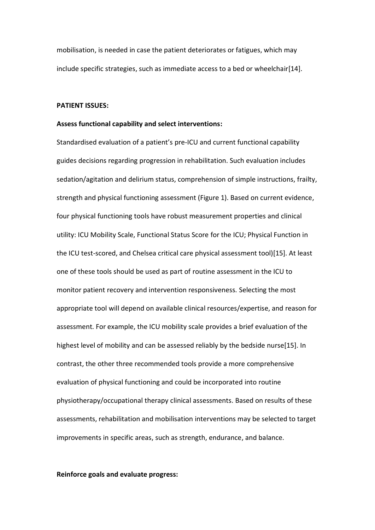mobilisation, is needed in case the patient deteriorates or fatigues, which may include specific strategies, such as immediate access to a bed or wheelchair[\[14\]](#page-8-1).

#### **PATIENT ISSUES:**

#### **Assess functional capability and select interventions:**

Standardised evaluation of a patient's pre-ICU and current functional capability guides decisions regarding progression in rehabilitation. Such evaluation includes sedation/agitation and delirium status, comprehension of simple instructions, frailty, strength and physical functioning assessment (Figure 1). Based on current evidence, four physical functioning tools have robust measurement properties and clinical utility: ICU Mobility Scale, Functional Status Score for the ICU; Physical Function in the ICU test-scored, and Chelsea critical care physical assessment tool)[\[15\]](#page-8-2). At least one of these tools should be used as part of routine assessment in the ICU to monitor patient recovery and intervention responsiveness. Selecting the most appropriate tool will depend on available clinical resources/expertise, and reason for assessment. For example, the ICU mobility scale provides a brief evaluation of the highest level of mobility and can be assessed reliably by the bedside nurse[\[15\]](#page-8-2). In contrast, the other three recommended tools provide a more comprehensive evaluation of physical functioning and could be incorporated into routine physiotherapy/occupational therapy clinical assessments. Based on results of these assessments, rehabilitation and mobilisation interventions may be selected to target improvements in specific areas, such as strength, endurance, and balance.

**Reinforce goals and evaluate progress:**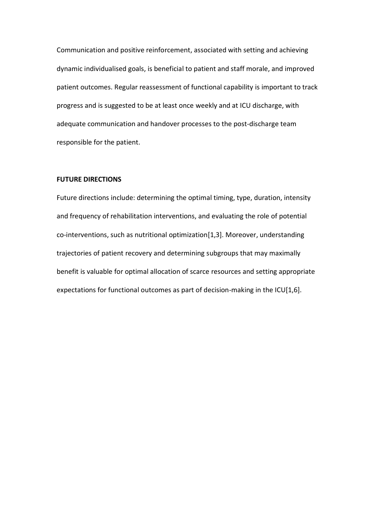Communication and positive reinforcement, associated with setting and achieving dynamic individualised goals, is beneficial to patient and staff morale, and improved patient outcomes. Regular reassessment of functional capability is important to track progress and is suggested to be at least once weekly and at ICU discharge, with adequate communication and handover processes to the post-discharge team responsible for the patient.

## **FUTURE DIRECTIONS**

Future directions include: determining the optimal timing, type, duration, intensity and frequency of rehabilitation interventions, and evaluating the role of potential co-interventions, such as nutritional optimization[\[1](#page-7-0)[,3\]](#page-7-2). Moreover, understanding trajectories of patient recovery and determining subgroups that may maximally benefit is valuable for optimal allocation of scarce resources and setting appropriate expectations for functional outcomes as part of decision-making in the ICU[\[1,](#page-7-0)[6\]](#page-7-5).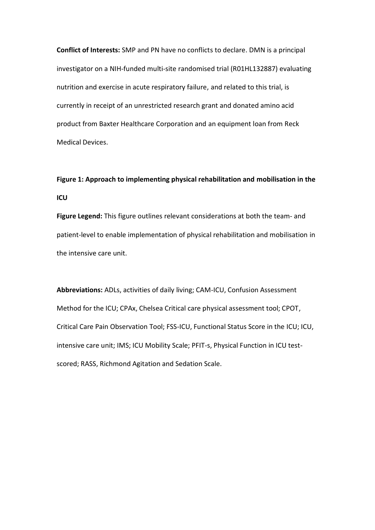**Conflict of Interests:** SMP and PN have no conflicts to declare. DMN is a principal investigator on a NIH-funded multi-site randomised trial (R01HL132887) evaluating nutrition and exercise in acute respiratory failure, and related to this trial, is currently in receipt of an unrestricted research grant and donated amino acid product from Baxter Healthcare Corporation and an equipment loan from Reck Medical Devices.

# **Figure 1: Approach to implementing physical rehabilitation and mobilisation in the ICU**

**Figure Legend:** This figure outlines relevant considerations at both the team- and patient-level to enable implementation of physical rehabilitation and mobilisation in the intensive care unit.

**Abbreviations:** ADLs, activities of daily living; CAM-ICU, Confusion Assessment Method for the ICU; CPAx, Chelsea Critical care physical assessment tool; CPOT, Critical Care Pain Observation Tool; FSS-ICU, Functional Status Score in the ICU; ICU, intensive care unit; IMS; ICU Mobility Scale; PFIT-s, Physical Function in ICU testscored; RASS, Richmond Agitation and Sedation Scale.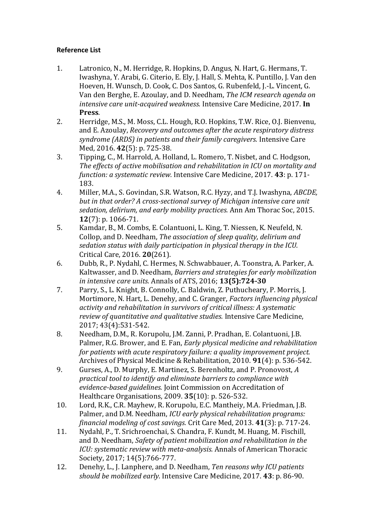# **Reference List**

- <span id="page-7-0"></span>1. Latronico, N., M. Herridge, R. Hopkins, D. Angus, N. Hart, G. Hermans, T. Iwashyna, Y. Arabi, G. Citerio, E. Ely, J. Hall, S. Mehta, K. Puntillo, J. Van den Hoeven, H. Wunsch, D. Cook, C. Dos Santos, G. Rubenfeld, J.-L. Vincent, G. Van den Berghe, E. Azoulay, and D. Needham, *The ICM research agenda on intensive care unit-acquired weakness.* Intensive Care Medicine, 2017. **In Press**.
- <span id="page-7-1"></span>2. Herridge, M.S., M. Moss, C.L. Hough, R.O. Hopkins, T.W. Rice, O.J. Bienvenu, and E. Azoulay, *Recovery and outcomes after the acute respiratory distress syndrome (ARDS) in patients and their family caregivers.* Intensive Care Med, 2016. **42**(5): p. 725-38.
- <span id="page-7-2"></span>3. Tipping, C., M. Harrold, A. Holland, L. Romero, T. Nisbet, and C. Hodgson, *The effects of active mobilisation and rehabilitation in ICU on mortality and function: a systematic review.* Intensive Care Medicine, 2017. **43**: p. 171- 183.
- <span id="page-7-3"></span>4. Miller, M.A., S. Govindan, S.R. Watson, R.C. Hyzy, and T.J. Iwashyna, *ABCDE, but in that order? A cross-sectional survey of Michigan intensive care unit sedation, delirium, and early mobility practices.* Ann Am Thorac Soc, 2015. **12**(7): p. 1066-71.
- <span id="page-7-4"></span>5. Kamdar, B., M. Combs, E. Colantuoni, L. King, T. Niessen, K. Neufeld, N. Collop, and D. Needham, *The association of sleep quality, delirium and sedation status with daily participation in physical therapy in the ICU.* Critical Care, 2016. **20**(261).
- <span id="page-7-5"></span>6. Dubb, R., P. Nydahl, C. Hermes, N. Schwabbauer, A. Toonstra, A. Parker, A. Kaltwasser, and D. Needham, *Barriers and strategies for early mobilization in intensive care units.* Annals of ATS, 2016; **13(5):724-30**
- <span id="page-7-6"></span>7. Parry, S., L. Knight, B. Connolly, C. Baldwin, Z. Puthucheary, P. Morris, J. Mortimore, N. Hart, L. Denehy, and C. Granger, *Factors influencing physical activity and rehabilitation in survivors of critical illness: A systematic review of quantitative and qualitative studies.* Intensive Care Medicine, 2017; 43(4):531-542.
- <span id="page-7-7"></span>8. Needham, D.M., R. Korupolu, J.M. Zanni, P. Pradhan, E. Colantuoni, J.B. Palmer, R.G. Brower, and E. Fan, *Early physical medicine and rehabilitation for patients with acute respiratory failure: a quality improvement project.* Archives of Physical Medicine & Rehabilitation, 2010. **91**(4): p. 536-542.
- <span id="page-7-8"></span>9. Gurses, A., D. Murphy, E. Martinez, S. Berenholtz, and P. Pronovost, *A practical tool to identify and eliminate barriers to compliance with evidence-based guidelines.* Joint Commission on Accreditation of Healthcare Organisations, 2009. **35**(10): p. 526-532.
- <span id="page-7-9"></span>10. Lord, R.K., C.R. Mayhew, R. Korupolu, E.C. Mantheiy, M.A. Friedman, J.B. Palmer, and D.M. Needham, *ICU early physical rehabilitation programs: financial modeling of cost savings.* Crit Care Med, 2013. **41**(3): p. 717-24.
- <span id="page-7-10"></span>11. Nydahl, P., T. Srichroenchai, S. Chandra, F. Kundt, M. Huang, M. Fischill, and D. Needham, *Safety of patient mobilization and rehabilitation in the ICU: systematic review with meta-analysis.* Annals of American Thoracic Society, 2017; 14(5):766-777.
- <span id="page-7-11"></span>12. Denehy, L., J. Lanphere, and D. Needham, *Ten reasons why ICU patients should be mobilized early.* Intensive Care Medicine, 2017. **43**: p. 86-90.